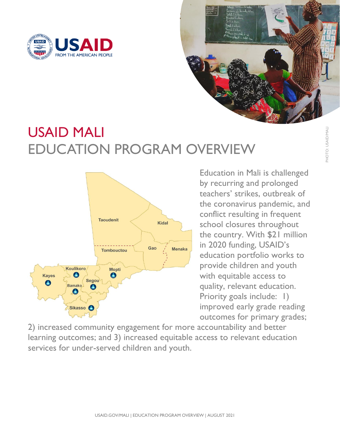

# USAID MALI EDUCATION PROGRAM OVERVIEW



UNIMPROGRAM OVERVIEW Exercise is challenged<br>by recurring and prolonged<br>teachers' strikes, outbreak of<br>the coronavirus pandemic, and<br>conflict resulting in frequent<br>the country. With \$21 million<br>in 2020 funding, USAID's<br>duca Education in Mali is challenged by recurring and prolonged teachers' strikes, outbreak of the coronavirus pandemic, and conflict resulting in frequent school closures throughout the country. With \$21 million in 2020 funding, USAID's education portfolio works to provide children and youth with equitable access to quality, relevant education. Priority goals include: 1) improved early grade reading outcomes for primary grades;

2) increased community engagement for more accountability and better learning outcomes; and 3) increased equitable access to relevant education services for under-served children and youth.